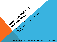Download the handout and slides: https://go.ncsu.edu/byrd-microaggressions

LEARNING

MICROAGGRESSIONS IN

CHRISTY M. BYRD

SCIENCES

TEACHER

**ACADEMIC SPACES**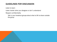### GUIDELINES FOR DISCUSSION

Listen to learn

Listen harder when you disagree or don't understand

Respect confidentiality

Talk in your breakout groups about what is OK to share outside the group

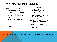### WHAT ARE MICROAGGRESSIONS?

Microaggressions are subtle and often unintentional verbal or nonverbal slights that demean an individual based on their membership in a marginalized group.

"You speak English so well!"

"You must be good in math, can you help me with my assignment?" (to an Asian person)

"Why do Black people have to be so loud? Just calm down."

"That's so gay"

- Assuming a student of color has cheated when they get a high score
- A teacher calling on males students more than female students

Take a moment to think of a microaggression you experienced. How did you respond?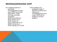#### MICROAGGRESSIONS HURT

For college students in particular, microaggressions have been linked to anxiety, depression, binge drinking, and poor academic performance(Blume 1971; Brown et al. 2015; Ong et al. 2013; Solorzano et al. 2000; Torres et al. 2010; Wong et al. 2014) Their subtlety and ambiguity make it difficult to detect and respond to microaggressions and make it difficult for targets to receive support.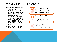### WHY CONFRONT IN THE MOMENT?

Research on discrimination in general and microaggressions in particular suggests that active coping strategies are associated with greater well-being later on (Dickter 2012; Grier- Reed 2010; Miller and Major 2000; Solorzano et al. 2000; Torres et al. 2010).

Confronting may not always be the best strategy.



It can reduce aggressor's bias(Czopp et al. 2012, 2006; Czopp and Monteith 2003; Gervais et al. 2010)



You may feel less guilty and are less likely to ruminate(Dickter 2012; Dickter and Newton 2013; Sechrist and Swim 2008; Shelton et al. 2006)



It sets a norm for others(Blanchard et al. 1994; Monteith et al. 1996)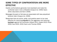### SOME TYPES OF CONFRONTATION ARE MORE EFFECTIVE

Hostile confrontations generate more backlash and make the confronter seem more unlikeable (Czopp et al. 2006; Hyers 2010; (Saunders and Senn 2009)

Messages focused on fairness are associated with less prejudiced behavior later (Czopp et al. 2006)

Responses that are active, polite, and positive seem to be most effective for reducing **prejudice** for the aggressor and reducing backlash against the confronter (Hillard 2011; Nadal 2013; Plous 2000; Sue 2003, 2010; Swim and Thomas 2006)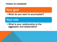

# Your goal

•What do you want to accomplish?

## Your role

•What is your relationship to the aggressor and bystanders?

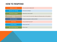#### HOW TO RESPOND

| Appeal to values                         | • "You're too smart to believe that!"                                                         |  |
|------------------------------------------|-----------------------------------------------------------------------------------------------|--|
| <b>Express your feelings</b>             | • "That hurts my feelings."                                                                   |  |
| Get them to explain                      | • "What did you mean by that?"                                                                |  |
| Empathize with the underlying<br>feeling | • "I know it's hard to find a job after college, [but affirmative action isn't the problem.]" |  |
| Give information                         | • "Actually, most people on welfare are White."                                               |  |
| Use humor                                | • "Are you Donald Trump now?"                                                                 |  |
| Involve others                           | • "Did you hear that?"                                                                        |  |
| Non-verbal response                      | • Roll your eyes                                                                              |  |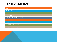#### HOW THEY MIGHT REACT

| <b>Denial</b>                         |
|---------------------------------------|
| Dismissal/minimization                |
| <b>Attack</b>                         |
| Claim it was a joke                   |
| Try to explain your misinterpretation |
| Guilt                                 |
| Freeze                                |
| Get others to agree with them         |
| Apologize/try to make up for it       |
|                                       |
|                                       |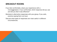#### BREAKOUT ROOMS

If you feel comfortable, share your experience with a microaggression. If you confronted, which response did you use and did you feel it was effective?

- Brainstorm alternative responses with your group. If you wish, practice saying them out loud.
- Discuss what types of responses are most useful in different circumstances.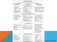| <b>Microintervention strategies</b>                                                                                                                                                                                            |                                                                                                                                                                                                                                                                                                                             |                                                                                                                                                                                                                                                                                                                                        |
|--------------------------------------------------------------------------------------------------------------------------------------------------------------------------------------------------------------------------------|-----------------------------------------------------------------------------------------------------------------------------------------------------------------------------------------------------------------------------------------------------------------------------------------------------------------------------|----------------------------------------------------------------------------------------------------------------------------------------------------------------------------------------------------------------------------------------------------------------------------------------------------------------------------------------|
| <b>Directed Toward Perpetrator</b><br><b>Microaggressions</b>                                                                                                                                                                  | <b>Directed Toward Institutional</b><br><b>Macroaggressions</b>                                                                                                                                                                                                                                                             | <b>Directed Toward Societal</b><br><b>Macroaggressions</b>                                                                                                                                                                                                                                                                             |
|                                                                                                                                                                                                                                | Make the "Invisible" Visible                                                                                                                                                                                                                                                                                                |                                                                                                                                                                                                                                                                                                                                        |
| Undermine the meta-<br>٠<br>communication<br>Make the meta-communication •<br>٠<br>explicit<br>Challenge the stereotype<br>٠<br>Broaden the ascribed trait to a<br>٠<br>universal human behavior<br>Ask for clarification<br>٠ | • Keep a log of inequitable practices as<br>you see them<br>Run your observations by allies who<br>can corroborate<br>Solicit feedback from fellow<br>۰<br>coworkers/students<br>• Monitor trends around recruiting,<br>hiring, retention, promotion                                                                        | Create partnerships with academic<br>institutions to analyze data related<br>to disparities in education, health<br>care, employment<br>• Disseminate research on disparity<br>trends to general public and media<br>Organize peaceful demonstrations                                                                                  |
|                                                                                                                                                                                                                                | Disarm the Microaggression/Macroaggression                                                                                                                                                                                                                                                                                  |                                                                                                                                                                                                                                                                                                                                        |
| Express disagreement<br>State values and set limits<br>٠<br>Describe what is happening<br>Use an exclamation<br>Use non-verbal<br>communication<br>Interrupt and redirect                                                      | • Boycott, strike, or protest the<br>institution<br>• Request meetings with intermediary or<br>senior leadership to share perspectives<br>• Exercise right to serve on boards to<br>voice your concerns<br>Delineate financial repercussions of<br>٠<br>continued macroaggressions<br>• Notify press or other media outlets | • Protest political leaders who<br>reinforce inequity and division/<br>support those who do not<br>• Revise and veto unjust community<br>policies, practices, and laws<br>• Lobby to your congressmen or<br>senators<br>Attend televised town hall<br>٠<br>meetings to voice your concerns                                             |
|                                                                                                                                                                                                                                | <b>Educate the Offender</b>                                                                                                                                                                                                                                                                                                 |                                                                                                                                                                                                                                                                                                                                        |
| Point out the commonality<br>٠<br>Appeal to the offenders values<br>and principles<br>Differentiate between intent and<br>٠<br>impact<br>Promote empath<br>Point to how they benefit<br>٠                                      | Describe the benefits of workforce<br>diversity<br>Institute long-term mandated training<br>٠<br>on cultural sensitivity for all levels<br>Infuse multicultural principles into<br>٠<br>organizational mission and values                                                                                                   | Raise children to understand<br>concepts like prejudice,<br>discrimination, and racism.<br>• Challenge silence/lack of<br>response to macroaggression<br>• Identify shared mutual goals<br>among people<br>• Increase community's exposure to<br>positive examples of diverse<br>cultures to offset negative<br>stereotypes and biases |
|                                                                                                                                                                                                                                | <b>Seek External Intervention</b>                                                                                                                                                                                                                                                                                           |                                                                                                                                                                                                                                                                                                                                        |
| <b>Alert Authorities</b><br>Report the act<br>• Seek therapy/counseling<br>• Seek support through<br>spirituality/religion/community<br>• Set up a buddy system<br>• Attend support groups                                     | • Report inequitable practices to your<br>union<br>• Create networking/mentoring<br>opportunities for underrepresented<br>employees/students<br>• Maintain an open, supportive, and<br>responsive environment<br>• Call on consultants to conduct<br>external assessments/cultural audits                                   | • Foster cooperation over<br>competition<br>• Foster a sense of community<br>belonging<br>• Create caucuses for allies and<br>targets<br>• Participate in healing circles,<br>vigils, memorials that remind us of<br>the consequences of hate                                                                                          |

#### Sue et al. (2019)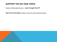### SUPPORT THE DEI TASK FORCE

Sense of Belonging Survey - open through Feb 23rd

Task Force Information: https://ced.ncsu.edu/advancing-dei/